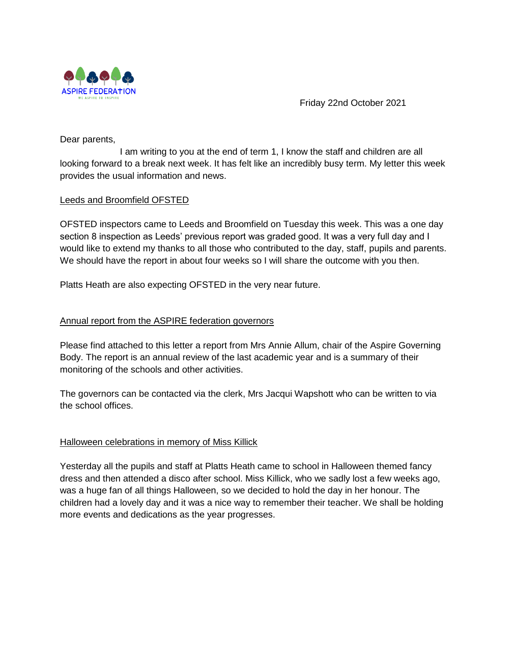

Friday 22nd October 2021

Dear parents,

I am writing to you at the end of term 1, I know the staff and children are all looking forward to a break next week. It has felt like an incredibly busy term. My letter this week provides the usual information and news.

# Leeds and Broomfield OFSTED

OFSTED inspectors came to Leeds and Broomfield on Tuesday this week. This was a one day section 8 inspection as Leeds' previous report was graded good. It was a very full day and I would like to extend my thanks to all those who contributed to the day, staff, pupils and parents. We should have the report in about four weeks so I will share the outcome with you then.

Platts Heath are also expecting OFSTED in the very near future.

# Annual report from the ASPIRE federation governors

Please find attached to this letter a report from Mrs Annie Allum, chair of the Aspire Governing Body. The report is an annual review of the last academic year and is a summary of their monitoring of the schools and other activities.

The governors can be contacted via the clerk, Mrs Jacqui Wapshott who can be written to via the school offices.

## Halloween celebrations in memory of Miss Killick

Yesterday all the pupils and staff at Platts Heath came to school in Halloween themed fancy dress and then attended a disco after school. Miss Killick, who we sadly lost a few weeks ago, was a huge fan of all things Halloween, so we decided to hold the day in her honour. The children had a lovely day and it was a nice way to remember their teacher. We shall be holding more events and dedications as the year progresses.